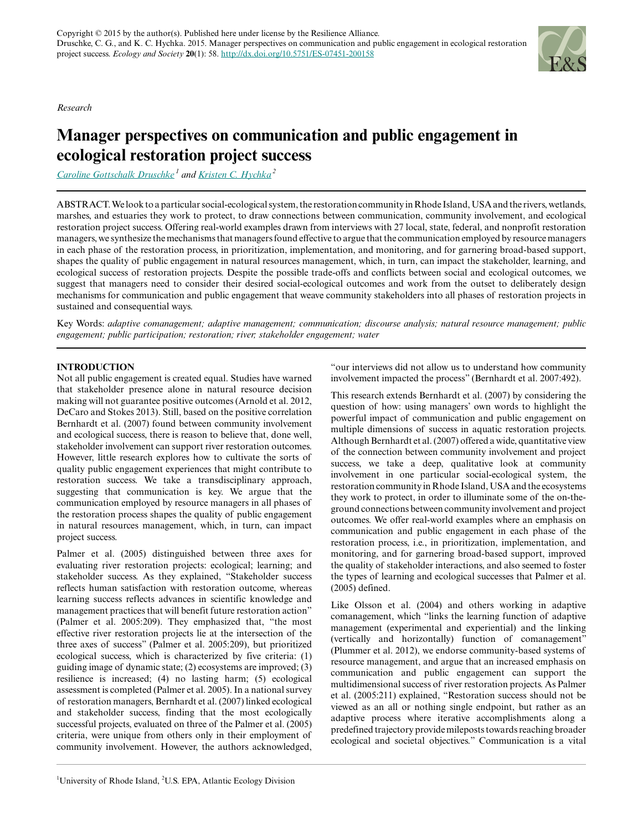*Research*



# **Manager perspectives on communication and public engagement in ecological restoration project success**

*[Caroline Gottschalk Druschke](mailto:cgd@uri.edu)<sup>1</sup> and [Kristen C. Hychka](mailto:khychka@gmail.com)<sup>2</sup>*

ABSTRACT. We look to a particular social-ecological system, the restoration community in Rhode Island, USA and the rivers, wetlands, marshes, and estuaries they work to protect, to draw connections between communication, community involvement, and ecological restoration project success. Offering real-world examples drawn from interviews with 27 local, state, federal, and nonprofit restoration managers, we synthesize the mechanisms that managers found effective to argue that the communication employed by resource managers in each phase of the restoration process, in prioritization, implementation, and monitoring, and for garnering broad-based support, shapes the quality of public engagement in natural resources management, which, in turn, can impact the stakeholder, learning, and ecological success of restoration projects. Despite the possible trade-offs and conflicts between social and ecological outcomes, we suggest that managers need to consider their desired social-ecological outcomes and work from the outset to deliberately design mechanisms for communication and public engagement that weave community stakeholders into all phases of restoration projects in sustained and consequential ways.

Key Words: *adaptive comanagement; adaptive management; communication; discourse analysis; natural resource management; public engagement; public participation; restoration; river; stakeholder engagement; water*

# **INTRODUCTION**

Not all public engagement is created equal. Studies have warned that stakeholder presence alone in natural resource decision making will not guarantee positive outcomes (Arnold et al. 2012, DeCaro and Stokes 2013). Still, based on the positive correlation Bernhardt et al. (2007) found between community involvement and ecological success, there is reason to believe that, done well, stakeholder involvement can support river restoration outcomes. However, little research explores how to cultivate the sorts of quality public engagement experiences that might contribute to restoration success. We take a transdisciplinary approach, suggesting that communication is key. We argue that the communication employed by resource managers in all phases of the restoration process shapes the quality of public engagement in natural resources management, which, in turn, can impact project success.

Palmer et al. (2005) distinguished between three axes for evaluating river restoration projects: ecological; learning; and stakeholder success. As they explained, "Stakeholder success reflects human satisfaction with restoration outcome, whereas learning success reflects advances in scientific knowledge and management practices that will benefit future restoration action" (Palmer et al. 2005:209). They emphasized that, "the most effective river restoration projects lie at the intersection of the three axes of success" (Palmer et al. 2005:209), but prioritized ecological success, which is characterized by five criteria: (1) guiding image of dynamic state; (2) ecosystems are improved; (3) resilience is increased; (4) no lasting harm; (5) ecological assessment is completed (Palmer et al. 2005). In a national survey of restoration managers, Bernhardt et al. (2007) linked ecological and stakeholder success, finding that the most ecologically successful projects, evaluated on three of the Palmer et al. (2005) criteria, were unique from others only in their employment of community involvement. However, the authors acknowledged,

"our interviews did not allow us to understand how community involvement impacted the process" (Bernhardt et al. 2007:492).

This research extends Bernhardt et al. (2007) by considering the question of how: using managers' own words to highlight the powerful impact of communication and public engagement on multiple dimensions of success in aquatic restoration projects. Although Bernhardt et al. (2007) offered a wide, quantitative view of the connection between community involvement and project success, we take a deep, qualitative look at community involvement in one particular social-ecological system, the restoration community in Rhode Island, USA and the ecosystems they work to protect, in order to illuminate some of the on-theground connections between community involvement and project outcomes. We offer real-world examples where an emphasis on communication and public engagement in each phase of the restoration process, i.e., in prioritization, implementation, and monitoring, and for garnering broad-based support, improved the quality of stakeholder interactions, and also seemed to foster the types of learning and ecological successes that Palmer et al. (2005) defined.

Like Olsson et al. (2004) and others working in adaptive comanagement, which "links the learning function of adaptive management (experimental and experiential) and the linking (vertically and horizontally) function of comanagement" (Plummer et al. 2012), we endorse community-based systems of resource management, and argue that an increased emphasis on communication and public engagement can support the multidimensional success of river restoration projects. As Palmer et al. (2005:211) explained, "Restoration success should not be viewed as an all or nothing single endpoint, but rather as an adaptive process where iterative accomplishments along a predefined trajectory provide mileposts towards reaching broader ecological and societal objectives." Communication is a vital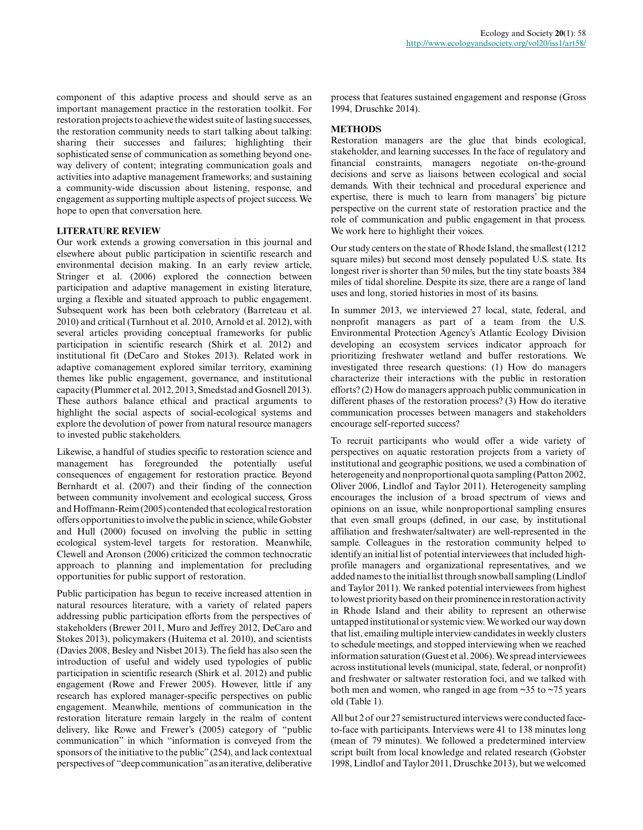component of this adaptive process and should serve as an important management practice in the restoration toolkit. For restoration projects to achieve the widest suite of lasting successes, the restoration community needs to start talking about talking: sharing their successes and failures; highlighting their sophisticated sense of communication as something beyond oneway delivery of content; integrating communication goals and activities into adaptive management frameworks; and sustaining a community-wide discussion about listening, response, and engagement as supporting multiple aspects of project success. We hope to open that conversation here.

## **LITERATURE REVIEW**

Our work extends a growing conversation in this journal and elsewhere about public participation in scientific research and environmental decision making. In an early review article, Stringer et al. (2006) explored the connection between participation and adaptive management in existing literature, urging a flexible and situated approach to public engagement. Subsequent work has been both celebratory (Barreteau et al. 2010) and critical (Turnhout et al. 2010, Arnold et al. 2012), with several articles providing conceptual frameworks for public participation in scientific research (Shirk et al. 2012) and institutional fit (DeCaro and Stokes 2013). Related work in adaptive comanagement explored similar territory, examining themes like public engagement, governance, and institutional capacity (Plummer et al. 2012, 2013, Smedstad and Gosnell 2013). These authors balance ethical and practical arguments to highlight the social aspects of social-ecological systems and explore the devolution of power from natural resource managers to invested public stakeholders.

Likewise, a handful of studies specific to restoration science and management has foregrounded the potentially useful consequences of engagement for restoration practice. Beyond Bernhardt et al. (2007) and their finding of the connection between community involvement and ecological success, Gross and Hoffmann-Reim (2005) contended that ecological restoration offers opportunities to involve the public in science, while Gobster and Hull (2000) focused on involving the public in setting ecological system-level targets for restoration. Meanwhile, Clewell and Aronson (2006) criticized the common technocratic approach to planning and implementation for precluding opportunities for public support of restoration.

Public participation has begun to receive increased attention in natural resources literature, with a variety of related papers addressing public participation efforts from the perspectives of stakeholders (Brewer 2011, Muro and Jeffrey 2012, DeCaro and Stokes 2013), policymakers (Huitema et al. 2010), and scientists (Davies 2008, Besley and Nisbet 2013). The field has also seen the introduction of useful and widely used typologies of public participation in scientific research (Shirk et al. 2012) and public engagement (Rowe and Frewer 2005). However, little if any research has explored manager-specific perspectives on public engagement. Meanwhile, mentions of communication in the restoration literature remain largely in the realm of content delivery, like Rowe and Frewer's (2005) category of "public communication" in which "information is conveyed from the sponsors of the initiative to the public" (254), and lack contextual perspectives of "deep communication" as an iterative, deliberative

process that features sustained engagement and response (Gross 1994, Druschke 2014).

## **METHODS**

Restoration managers are the glue that binds ecological, stakeholder, and learning successes. In the face of regulatory and financial constraints, managers negotiate on-the-ground decisions and serve as liaisons between ecological and social demands. With their technical and procedural experience and expertise, there is much to learn from managers' big picture perspective on the current state of restoration practice and the role of communication and public engagement in that process. We work here to highlight their voices.

Our study centers on the state of Rhode Island, the smallest (1212 square miles) but second most densely populated U.S. state. Its longest river is shorter than 50 miles, but the tiny state boasts 384 miles of tidal shoreline. Despite its size, there are a range of land uses and long, storied histories in most of its basins.

In summer 2013, we interviewed 27 local, state, federal, and nonprofit managers as part of a team from the U.S. Environmental Protection Agency's Atlantic Ecology Division developing an ecosystem services indicator approach for prioritizing freshwater wetland and buffer restorations. We investigated three research questions: (1) How do managers characterize their interactions with the public in restoration efforts? (2) How do managers approach public communication in different phases of the restoration process? (3) How do iterative communication processes between managers and stakeholders encourage self-reported success?

To recruit participants who would offer a wide variety of perspectives on aquatic restoration projects from a variety of institutional and geographic positions, we used a combination of heterogeneity and nonproportional quota sampling (Patton 2002, Oliver 2006, Lindlof and Taylor 2011). Heterogeneity sampling encourages the inclusion of a broad spectrum of views and opinions on an issue, while nonproportional sampling ensures that even small groups (defined, in our case, by institutional affiliation and freshwater/saltwater) are well-represented in the sample. Colleagues in the restoration community helped to identify an initial list of potential interviewees that included highprofile managers and organizational representatives, and we added names to the initial list through snowball sampling (Lindlof and Taylor 2011). We ranked potential interviewees from highest to lowest priority based on their prominence in restoration activity in Rhode Island and their ability to represent an otherwise untapped institutional or systemic view. We worked our way down that list, emailing multiple interview candidates in weekly clusters to schedule meetings, and stopped interviewing when we reached information saturation (Guest et al. 2006). We spread interviewees across institutional levels (municipal, state, federal, or nonprofit) and freshwater or saltwater restoration foci, and we talked with both men and women, who ranged in age from  $\sim$ 35 to  $\sim$ 75 years old (Table 1).

All but 2 of our 27 semistructured interviews were conducted faceto-face with participants. Interviews were 41 to 138 minutes long (mean of 79 minutes). We followed a predetermined interview script built from local knowledge and related research (Gobster 1998, Lindlof and Taylor 2011, Druschke 2013), but we welcomed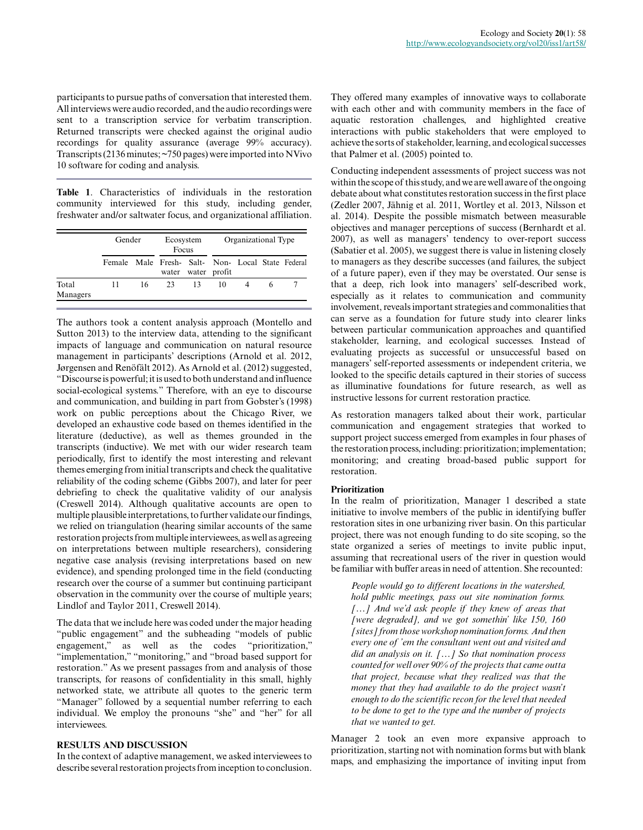participants to pursue paths of conversation that interested them. All interviews were audio recorded, and the audio recordings were sent to a transcription service for verbatim transcription. Returned transcripts were checked against the original audio recordings for quality assurance (average 99% accuracy). Transcripts (2136 minutes; ~750 pages) were imported into NVivo 10 software for coding and analysis.

**Table 1**. Characteristics of individuals in the restoration community interviewed for this study, including gender, freshwater and/or saltwater focus, and organizational affiliation.

|                   | Gender                                            |    | Ecosystem<br>Focus |                    | Organizational Type |   |   |  |
|-------------------|---------------------------------------------------|----|--------------------|--------------------|---------------------|---|---|--|
|                   | Female Male Fresh- Salt- Non- Local State Federal |    |                    | water water profit |                     |   |   |  |
| Total<br>Managers | 11                                                | 16 | 23                 | 13                 | 10                  | 4 | 6 |  |

The authors took a content analysis approach (Montello and Sutton 2013) to the interview data, attending to the significant impacts of language and communication on natural resource management in participants' descriptions (Arnold et al. 2012, Jørgensen and Renöfält 2012). As Arnold et al. (2012) suggested, "Discourse is powerful; it is used to both understand and influence social-ecological systems." Therefore, with an eye to discourse and communication, and building in part from Gobster's (1998) work on public perceptions about the Chicago River, we developed an exhaustive code based on themes identified in the literature (deductive), as well as themes grounded in the transcripts (inductive). We met with our wider research team periodically, first to identify the most interesting and relevant themes emerging from initial transcripts and check the qualitative reliability of the coding scheme (Gibbs 2007), and later for peer debriefing to check the qualitative validity of our analysis (Creswell 2014). Although qualitative accounts are open to multiple plausible interpretations, to further validate our findings, we relied on triangulation (hearing similar accounts of the same restoration projects from multiple interviewees, as well as agreeing on interpretations between multiple researchers), considering negative case analysis (revising interpretations based on new evidence), and spending prolonged time in the field (conducting research over the course of a summer but continuing participant observation in the community over the course of multiple years; Lindlof and Taylor 2011, Creswell 2014).

The data that we include here was coded under the major heading "public engagement" and the subheading "models of public engagement," as well as the codes "prioritization," "implementation," "monitoring," and "broad based support for restoration." As we present passages from and analysis of those transcripts, for reasons of confidentiality in this small, highly networked state, we attribute all quotes to the generic term "Manager" followed by a sequential number referring to each individual. We employ the pronouns "she" and "her" for all interviewees.

#### **RESULTS AND DISCUSSION**

In the context of adaptive management, we asked interviewees to describe several restoration projects from inception to conclusion.

They offered many examples of innovative ways to collaborate with each other and with community members in the face of aquatic restoration challenges, and highlighted creative interactions with public stakeholders that were employed to achieve the sorts of stakeholder, learning, and ecological successes that Palmer et al. (2005) pointed to.

Conducting independent assessments of project success was not within the scope of this study, and we are well aware of the ongoing debate about what constitutes restoration success in the first place (Zedler 2007, Jähnig et al. 2011, Wortley et al. 2013, Nilsson et al. 2014). Despite the possible mismatch between measurable objectives and manager perceptions of success (Bernhardt et al. 2007), as well as managers' tendency to over-report success (Sabatier et al. 2005), we suggest there is value in listening closely to managers as they describe successes (and failures, the subject of a future paper), even if they may be overstated. Our sense is that a deep, rich look into managers' self-described work, especially as it relates to communication and community involvement, reveals important strategies and commonalities that can serve as a foundation for future study into clearer links between particular communication approaches and quantified stakeholder, learning, and ecological successes. Instead of evaluating projects as successful or unsuccessful based on managers' self-reported assessments or independent criteria, we looked to the specific details captured in their stories of success as illuminative foundations for future research, as well as instructive lessons for current restoration practice.

As restoration managers talked about their work, particular communication and engagement strategies that worked to support project success emerged from examples in four phases of the restoration process, including: prioritization; implementation; monitoring; and creating broad-based public support for restoration.

#### **Prioritization**

In the realm of prioritization, Manager 1 described a state initiative to involve members of the public in identifying buffer restoration sites in one urbanizing river basin. On this particular project, there was not enough funding to do site scoping, so the state organized a series of meetings to invite public input, assuming that recreational users of the river in question would be familiar with buffer areas in need of attention. She recounted:

*People would go to different locations in the watershed, hold public meetings, pass out site nomination forms. […] And we'd ask people if they knew of areas that [were degraded], and we got somethin' like 150, 160 [sites] from those workshop nomination forms. And then every one of 'em the consultant went out and visited and did an analysis on it. […] So that nomination process counted for well over 90% of the projects that came outta that project, because what they realized was that the money that they had available to do the project wasn't enough to do the scientific recon for the level that needed to be done to get to the type and the number of projects that we wanted to get.*

Manager 2 took an even more expansive approach to prioritization, starting not with nomination forms but with blank maps, and emphasizing the importance of inviting input from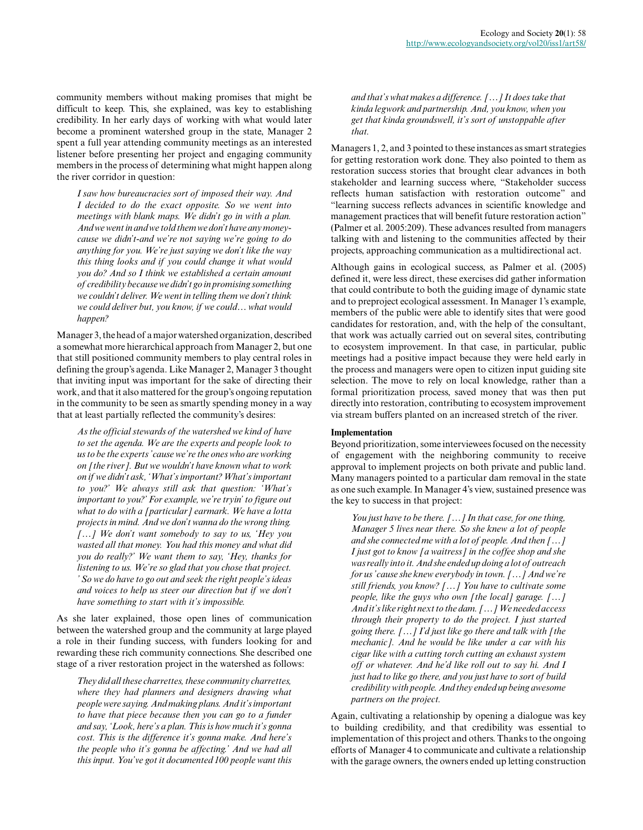community members without making promises that might be difficult to keep. This, she explained, was key to establishing credibility. In her early days of working with what would later become a prominent watershed group in the state, Manager 2 spent a full year attending community meetings as an interested listener before presenting her project and engaging community members in the process of determining what might happen along the river corridor in question:

*I saw how bureaucracies sort of imposed their way. And I decided to do the exact opposite. So we went into meetings with blank maps. We didn't go in with a plan. And we went in and we told them we don't have any moneycause we didn't-and we're not saying we're going to do anything for you. We're just saying we don't like the way this thing looks and if you could change it what would you do? And so I think we established a certain amount of credibility because we didn't go in promising something we couldn't deliver. We went in telling them we don't think we could deliver but, you know, if we could… what would happen?*

Manager 3, the head of a major watershed organization, described a somewhat more hierarchical approach from Manager 2, but one that still positioned community members to play central roles in defining the group's agenda. Like Manager 2, Manager 3 thought that inviting input was important for the sake of directing their work, and that it also mattered for the group's ongoing reputation in the community to be seen as smartly spending money in a way that at least partially reflected the community's desires:

*As the official stewards of the watershed we kind of have to set the agenda. We are the experts and people look to us to be the experts 'cause we're the ones who are working on [the river]. But we wouldn't have known what to work on if we didn't ask, 'What's important? What's important to you?' We always still ask that question: 'What's important to you?' For example, we're tryin' to figure out what to do with a [particular] earmark. We have a lotta projects in mind. And we don't wanna do the wrong thing. […] We don't want somebody to say to us, 'Hey you wasted all that money. You had this money and what did you do really?' We want them to say, 'Hey, thanks for listening to us. We're so glad that you chose that project. ' So we do have to go out and seek the right people's ideas and voices to help us steer our direction but if we don't have something to start with it's impossible.*

As she later explained, those open lines of communication between the watershed group and the community at large played a role in their funding success, with funders looking for and rewarding these rich community connections. She described one stage of a river restoration project in the watershed as follows:

*They did all these charrettes, these community charrettes, where they had planners and designers drawing what people were saying. And making plans. And it's important to have that piece because then you can go to a funder and say, 'Look, here's a plan. This is how much it's gonna cost. This is the difference it's gonna make. And here's the people who it's gonna be affecting.' And we had all this input. You've got it documented 100 people want this*

*and that's what makes a difference. […] It does take that kinda legwork and partnership. And, you know, when you get that kinda groundswell, it's sort of unstoppable after that.*

Managers 1, 2, and 3 pointed to these instances as smart strategies for getting restoration work done. They also pointed to them as restoration success stories that brought clear advances in both stakeholder and learning success where, "Stakeholder success reflects human satisfaction with restoration outcome" and "learning success reflects advances in scientific knowledge and management practices that will benefit future restoration action" (Palmer et al. 2005:209). These advances resulted from managers talking with and listening to the communities affected by their projects, approaching communication as a multidirectional act.

Although gains in ecological success, as Palmer et al. (2005) defined it, were less direct, these exercises did gather information that could contribute to both the guiding image of dynamic state and to preproject ecological assessment. In Manager 1's example, members of the public were able to identify sites that were good candidates for restoration, and, with the help of the consultant, that work was actually carried out on several sites, contributing to ecosystem improvement. In that case, in particular, public meetings had a positive impact because they were held early in the process and managers were open to citizen input guiding site selection. The move to rely on local knowledge, rather than a formal prioritization process, saved money that was then put directly into restoration, contributing to ecosystem improvement via stream buffers planted on an increased stretch of the river.

#### **Implementation**

Beyond prioritization, some interviewees focused on the necessity of engagement with the neighboring community to receive approval to implement projects on both private and public land. Many managers pointed to a particular dam removal in the state as one such example. In Manager 4's view, sustained presence was the key to success in that project:

*You just have to be there. […] In that case, for one thing, Manager 5 lives near there. So she knew a lot of people and she connected me with a lot of people. And then […] I just got to know [a waitress] in the coffee shop and she was really into it. And she ended up doing a lot of outreach for us 'cause she knew everybody in town. […] And we're still friends, you know? […] You have to cultivate some people, like the guys who own [the local] garage. […] And it's like right next to the dam. […] We needed access through their property to do the project. I just started going there. […] I'd just like go there and talk with [the mechanic]. And he would be like under a car with his cigar like with a cutting torch cutting an exhaust system off or whatever. And he'd like roll out to say hi. And I just had to like go there, and you just have to sort of build credibility with people. And they ended up being awesome partners on the project.*

Again, cultivating a relationship by opening a dialogue was key to building credibility, and that credibility was essential to implementation of this project and others. Thanks to the ongoing efforts of Manager 4 to communicate and cultivate a relationship with the garage owners, the owners ended up letting construction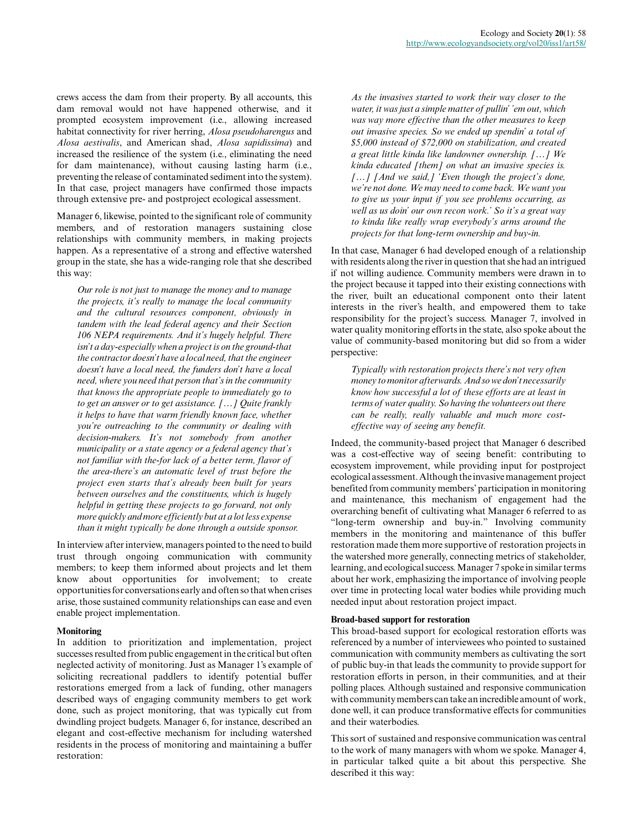crews access the dam from their property. By all accounts, this dam removal would not have happened otherwise, and it prompted ecosystem improvement (i.e., allowing increased habitat connectivity for river herring, *Alosa pseudoharengus* and *Alosa aestivalis*, and American shad, *Alosa sapidissima*) and increased the resilience of the system (i.e., eliminating the need for dam maintenance), without causing lasting harm (i.e., preventing the release of contaminated sediment into the system). In that case, project managers have confirmed those impacts through extensive pre- and postproject ecological assessment.

Manager 6, likewise, pointed to the significant role of community members, and of restoration managers sustaining close relationships with community members, in making projects happen. As a representative of a strong and effective watershed group in the state, she has a wide-ranging role that she described this way:

*Our role is not just to manage the money and to manage the projects, it's really to manage the local community and the cultural resources component, obviously in tandem with the lead federal agency and their Section 106 NEPA requirements. And it's hugely helpful. There isn't a day-especially when a project is on the ground-that the contractor doesn't have a local need, that the engineer doesn't have a local need, the funders don't have a local need, where you need that person that's in the community that knows the appropriate people to immediately go to to get an answer or to get assistance. […] Quite frankly it helps to have that warm friendly known face, whether you're outreaching to the community or dealing with decision-makers. It's not somebody from another municipality or a state agency or a federal agency that's not familiar with the-for lack of a better term, flavor of the area-there's an automatic level of trust before the project even starts that's already been built for years between ourselves and the constituents, which is hugely helpful in getting these projects to go forward, not only more quickly and more efficiently but at a lot less expense than it might typically be done through a outside sponsor.*

In interview after interview, managers pointed to the need to build trust through ongoing communication with community members; to keep them informed about projects and let them know about opportunities for involvement; to create opportunities for conversations early and often so that when crises arise, those sustained community relationships can ease and even enable project implementation.

#### **Monitoring**

In addition to prioritization and implementation, project successes resulted from public engagement in the critical but often neglected activity of monitoring. Just as Manager 1's example of soliciting recreational paddlers to identify potential buffer restorations emerged from a lack of funding, other managers described ways of engaging community members to get work done, such as project monitoring, that was typically cut from dwindling project budgets. Manager 6, for instance, described an elegant and cost-effective mechanism for including watershed residents in the process of monitoring and maintaining a buffer restoration:

*As the invasives started to work their way closer to the water, it was just a simple matter of pullin' 'em out, which was way more effective than the other measures to keep out invasive species. So we ended up spendin' a total of \$5,000 instead of \$72,000 on stabilization, and created a great little kinda like landowner ownership. […] We kinda educated [them] on what an invasive species is. […] [And we said,] 'Even though the project's done, we're not done. We may need to come back. We want you to give us your input if you see problems occurring, as well as us doin' our own recon work.' So it's a great way to kinda like really wrap everybody's arms around the projects for that long-term ownership and buy-in.*

In that case, Manager 6 had developed enough of a relationship with residents along the river in question that she had an intrigued if not willing audience. Community members were drawn in to the project because it tapped into their existing connections with the river, built an educational component onto their latent interests in the river's health, and empowered them to take responsibility for the project's success. Manager 7, involved in water quality monitoring efforts in the state, also spoke about the value of community-based monitoring but did so from a wider perspective:

*Typically with restoration projects there's not very often money to monitor afterwards. And so we don't necessarily know how successful a lot of these efforts are at least in terms of water quality. So having the volunteers out there can be really, really valuable and much more costeffective way of seeing any benefit.*

Indeed, the community-based project that Manager 6 described was a cost-effective way of seeing benefit: contributing to ecosystem improvement, while providing input for postproject ecological assessment. Although the invasive management project benefited from community members' participation in monitoring and maintenance, this mechanism of engagement had the overarching benefit of cultivating what Manager 6 referred to as "long-term ownership and buy-in." Involving community members in the monitoring and maintenance of this buffer restoration made them more supportive of restoration projects in the watershed more generally, connecting metrics of stakeholder, learning, and ecological success. Manager 7 spoke in similar terms about her work, emphasizing the importance of involving people over time in protecting local water bodies while providing much needed input about restoration project impact.

#### **Broad-based support for restoration**

This broad-based support for ecological restoration efforts was referenced by a number of interviewees who pointed to sustained communication with community members as cultivating the sort of public buy-in that leads the community to provide support for restoration efforts in person, in their communities, and at their polling places. Although sustained and responsive communication with community members can take an incredible amount of work, done well, it can produce transformative effects for communities and their waterbodies.

This sort of sustained and responsive communication was central to the work of many managers with whom we spoke. Manager 4, in particular talked quite a bit about this perspective. She described it this way: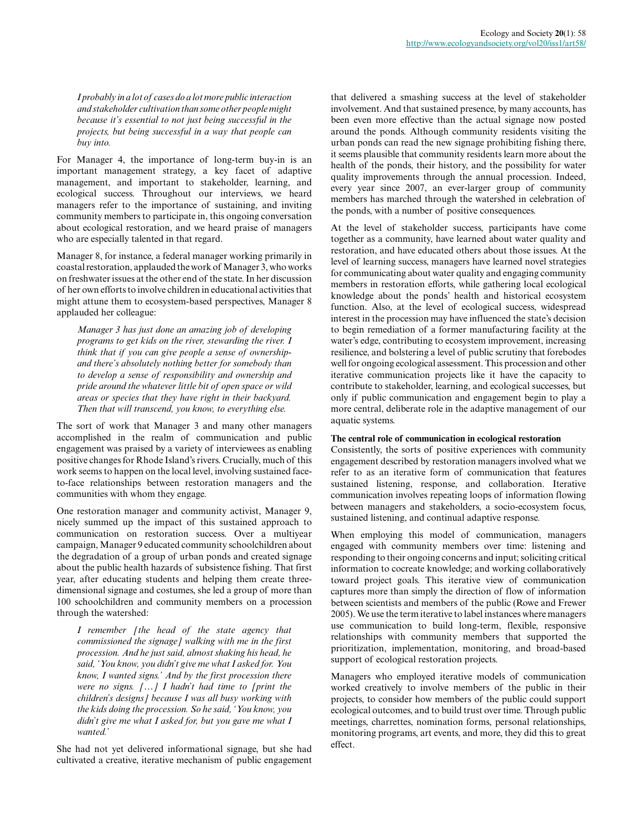*I probably in a lot of cases do a lot more public interaction and stakeholder cultivation than some other people might because it's essential to not just being successful in the projects, but being successful in a way that people can buy into.*

For Manager 4, the importance of long-term buy-in is an important management strategy, a key facet of adaptive management, and important to stakeholder, learning, and ecological success. Throughout our interviews, we heard managers refer to the importance of sustaining, and inviting community members to participate in, this ongoing conversation about ecological restoration, and we heard praise of managers who are especially talented in that regard.

Manager 8, for instance, a federal manager working primarily in coastal restoration, applauded the work of Manager 3, who works on freshwater issues at the other end of the state. In her discussion of her own efforts to involve children in educational activities that might attune them to ecosystem-based perspectives, Manager 8 applauded her colleague:

*Manager 3 has just done an amazing job of developing programs to get kids on the river, stewarding the river. I think that if you can give people a sense of ownershipand there's absolutely nothing better for somebody than to develop a sense of responsibility and ownership and pride around the whatever little bit of open space or wild areas or species that they have right in their backyard. Then that will transcend, you know, to everything else.*

The sort of work that Manager 3 and many other managers accomplished in the realm of communication and public engagement was praised by a variety of interviewees as enabling positive changes for Rhode Island's rivers. Crucially, much of this work seems to happen on the local level, involving sustained faceto-face relationships between restoration managers and the communities with whom they engage.

One restoration manager and community activist, Manager 9, nicely summed up the impact of this sustained approach to communication on restoration success. Over a multiyear campaign, Manager 9 educated community schoolchildren about the degradation of a group of urban ponds and created signage about the public health hazards of subsistence fishing. That first year, after educating students and helping them create threedimensional signage and costumes, she led a group of more than 100 schoolchildren and community members on a procession through the watershed:

*I remember [the head of the state agency that commissioned the signage] walking with me in the first procession. And he just said, almost shaking his head, he said, 'You know, you didn't give me what I asked for. You know, I wanted signs.' And by the first procession there were no signs. […] I hadn't had time to [print the children's designs] because I was all busy working with the kids doing the procession. So he said, 'You know, you didn't give me what I asked for, but you gave me what I wanted.'*

She had not yet delivered informational signage, but she had cultivated a creative, iterative mechanism of public engagement that delivered a smashing success at the level of stakeholder involvement. And that sustained presence, by many accounts, has been even more effective than the actual signage now posted around the ponds. Although community residents visiting the urban ponds can read the new signage prohibiting fishing there, it seems plausible that community residents learn more about the health of the ponds, their history, and the possibility for water quality improvements through the annual procession. Indeed, every year since 2007, an ever-larger group of community members has marched through the watershed in celebration of the ponds, with a number of positive consequences.

At the level of stakeholder success, participants have come together as a community, have learned about water quality and restoration, and have educated others about those issues. At the level of learning success, managers have learned novel strategies for communicating about water quality and engaging community members in restoration efforts, while gathering local ecological knowledge about the ponds' health and historical ecosystem function. Also, at the level of ecological success, widespread interest in the procession may have influenced the state's decision to begin remediation of a former manufacturing facility at the water's edge, contributing to ecosystem improvement, increasing resilience, and bolstering a level of public scrutiny that forebodes well for ongoing ecological assessment. This procession and other iterative communication projects like it have the capacity to contribute to stakeholder, learning, and ecological successes, but only if public communication and engagement begin to play a more central, deliberate role in the adaptive management of our aquatic systems.

#### **The central role of communication in ecological restoration**

Consistently, the sorts of positive experiences with community engagement described by restoration managers involved what we refer to as an iterative form of communication that features sustained listening, response, and collaboration. Iterative communication involves repeating loops of information flowing between managers and stakeholders, a socio-ecosystem focus, sustained listening, and continual adaptive response.

When employing this model of communication, managers engaged with community members over time: listening and responding to their ongoing concerns and input; soliciting critical information to cocreate knowledge; and working collaboratively toward project goals. This iterative view of communication captures more than simply the direction of flow of information between scientists and members of the public (Rowe and Frewer 2005). We use the term iterative to label instances where managers use communication to build long-term, flexible, responsive relationships with community members that supported the prioritization, implementation, monitoring, and broad-based support of ecological restoration projects.

Managers who employed iterative models of communication worked creatively to involve members of the public in their projects, to consider how members of the public could support ecological outcomes, and to build trust over time. Through public meetings, charrettes, nomination forms, personal relationships, monitoring programs, art events, and more, they did this to great effect.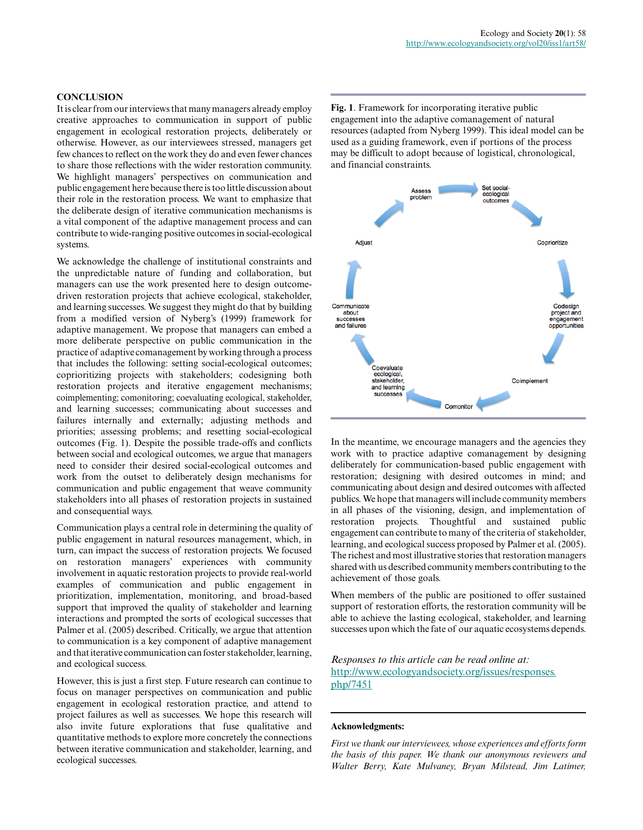## **CONCLUSION**

It is clear from our interviews that many managers already employ creative approaches to communication in support of public engagement in ecological restoration projects, deliberately or otherwise. However, as our interviewees stressed, managers get few chances to reflect on the work they do and even fewer chances to share those reflections with the wider restoration community. We highlight managers' perspectives on communication and public engagement here because there is too little discussion about their role in the restoration process. We want to emphasize that the deliberate design of iterative communication mechanisms is a vital component of the adaptive management process and can contribute to wide-ranging positive outcomes in social-ecological systems.

We acknowledge the challenge of institutional constraints and the unpredictable nature of funding and collaboration, but managers can use the work presented here to design outcomedriven restoration projects that achieve ecological, stakeholder, and learning successes. We suggest they might do that by building from a modified version of Nyberg's (1999) framework for adaptive management. We propose that managers can embed a more deliberate perspective on public communication in the practice of adaptive comanagement by working through a process that includes the following: setting social-ecological outcomes; coprioritizing projects with stakeholders; codesigning both restoration projects and iterative engagement mechanisms; coimplementing; comonitoring; coevaluating ecological, stakeholder, and learning successes; communicating about successes and failures internally and externally; adjusting methods and priorities; assessing problems; and resetting social-ecological outcomes (Fig. 1). Despite the possible trade-offs and conflicts between social and ecological outcomes, we argue that managers need to consider their desired social-ecological outcomes and work from the outset to deliberately design mechanisms for communication and public engagement that weave community stakeholders into all phases of restoration projects in sustained and consequential ways.

Communication plays a central role in determining the quality of public engagement in natural resources management, which, in turn, can impact the success of restoration projects. We focused on restoration managers' experiences with community involvement in aquatic restoration projects to provide real-world examples of communication and public engagement in prioritization, implementation, monitoring, and broad-based support that improved the quality of stakeholder and learning interactions and prompted the sorts of ecological successes that Palmer et al. (2005) described. Critically, we argue that attention to communication is a key component of adaptive management and that iterative communication can foster stakeholder, learning, and ecological success.

However, this is just a first step. Future research can continue to focus on manager perspectives on communication and public engagement in ecological restoration practice, and attend to project failures as well as successes. We hope this research will also invite future explorations that fuse qualitative and quantitative methods to explore more concretely the connections between iterative communication and stakeholder, learning, and ecological successes.

**Fig. 1**. Framework for incorporating iterative public engagement into the adaptive comanagement of natural resources (adapted from Nyberg 1999). This ideal model can be used as a guiding framework, even if portions of the process may be difficult to adopt because of logistical, chronological, and financial constraints.



In the meantime, we encourage managers and the agencies they work with to practice adaptive comanagement by designing deliberately for communication-based public engagement with restoration; designing with desired outcomes in mind; and communicating about design and desired outcomes with affected publics. We hope that managers will include community members in all phases of the visioning, design, and implementation of restoration projects. Thoughtful and sustained public engagement can contribute to many of the criteria of stakeholder, learning, and ecological success proposed by Palmer et al. (2005). The richest and most illustrative stories that restoration managers shared with us described community members contributing to the achievement of those goals.

When members of the public are positioned to offer sustained support of restoration efforts, the restoration community will be able to achieve the lasting ecological, stakeholder, and learning successes upon which the fate of our aquatic ecosystems depends.

*Responses to this article can be read online at:* [http://www.ecologyandsociety.org/issues/responses.](http://www.ecologyandsociety.org/issues/responses.php/7451) [php/7451](http://www.ecologyandsociety.org/issues/responses.php/7451)

#### **Acknowledgments:**

*First we thank our interviewees, whose experiences and efforts form the basis of this paper. We thank our anonymous reviewers and Walter Berry, Kate Mulvaney, Bryan Milstead, Jim Latimer,*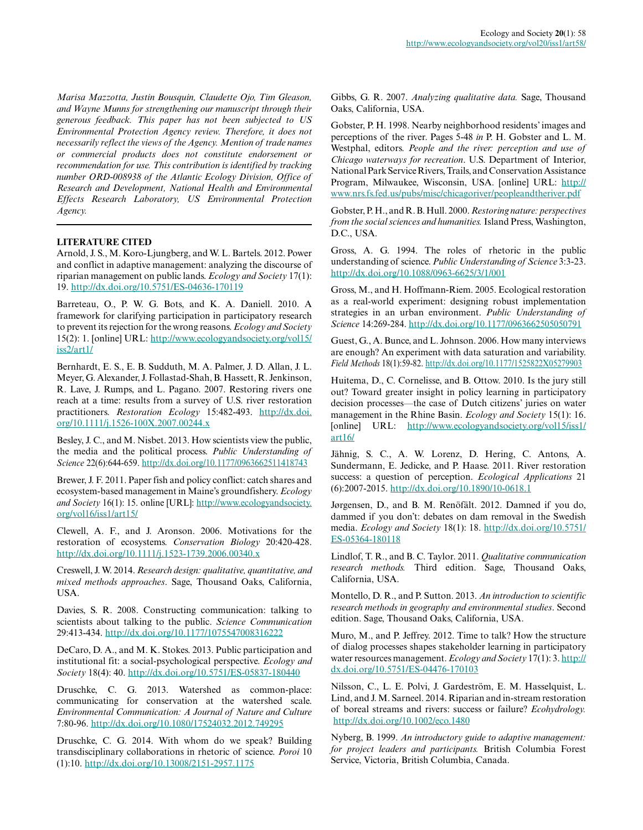*Marisa Mazzotta, Justin Bousquin, Claudette Ojo, Tim Gleason, and Wayne Munns for strengthening our manuscript through their generous feedback. This paper has not been subjected to US Environmental Protection Agency review. Therefore, it does not necessarily reflect the views of the Agency. Mention of trade names or commercial products does not constitute endorsement or recommendation for use. This contribution is identified by tracking number ORD-008938 of the Atlantic Ecology Division, Office of Research and Development, National Health and Environmental Effects Research Laboratory, US Environmental Protection Agency.*

## **LITERATURE CITED**

Arnold, J. S., M. Koro-Ljungberg, and W. L. Bartels. 2012. Power and conflict in adaptive management: analyzing the discourse of riparian management on public lands. *Ecology and Society* 17(1): 19. [http://dx.doi.org/10.5751/ES-04636-170119](http://dx.doi.org/10.5751%2FES-04636-170119)

Barreteau, O., P. W. G. Bots, and K. A. Daniell. 2010. A framework for clarifying participation in participatory research to prevent its rejection for the wrong reasons. *Ecology and Society* 15(2): 1. [online] URL: [http://www.ecologyandsociety.org/vol15/](http://www.ecologyandsociety.org/vol15/iss2/art1/) [iss2/art1/](http://www.ecologyandsociety.org/vol15/iss2/art1/)

Bernhardt, E. S., E. B. Sudduth, M. A. Palmer, J. D. Allan, J. L. Meyer, G. Alexander, J. Follastad-Shah, B. Hassett, R. Jenkinson, R. Lave, J. Rumps, and L. Pagano. 2007. Restoring rivers one reach at a time: results from a survey of U.S. river restoration practitioners. *Restoration Ecology* 15:482-493. [http://dx.doi.](http://dx.doi.org/10.1111%2Fj.1526-100X.2007.00244.x) [org/10.1111/j.1526-100X.2007.00244.x](http://dx.doi.org/10.1111%2Fj.1526-100X.2007.00244.x) 

Besley, J. C., and M. Nisbet. 2013. How scientists view the public, the media and the political process. *Public Understanding of Science* 22(6):644-659. [http://dx.doi.org/10.1177/0963662511418743](http://dx.doi.org/10.1177%2F0963662511418743) 

Brewer, J. F. 2011. Paper fish and policy conflict: catch shares and ecosystem-based management in Maine's groundfishery. *Ecology and Society* 16(1): 15. online [URL]: [http://www.ecologyandsociety.](http://www.ecologyandsociety.org/vol16/iss1/art15/) [org/vol16/iss1/art15/](http://www.ecologyandsociety.org/vol16/iss1/art15/)

Clewell, A. F., and J. Aronson. 2006. Motivations for the restoration of ecosystems. *Conservation Biology* 20:420-428. [http://dx.doi.org/10.1111/j.1523-1739.2006.00340.x](http://dx.doi.org/10.1111%2Fj.1523-1739.2006.00340.x) 

Creswell, J. W. 2014. *Research design: qualitative, quantitative, and mixed methods approaches*. Sage, Thousand Oaks, California, USA.

Davies, S. R. 2008. Constructing communication: talking to scientists about talking to the public. *Science Communication* 29:413-434. [http://dx.doi.org/10.1177/1075547008316222](http://dx.doi.org/10.1177%2F1075547008316222)

DeCaro, D. A., and M. K. Stokes. 2013. Public participation and institutional fit: a social-psychological perspective. *Ecology and Society* 18(4): 40. [http://dx.doi.org/10.5751/ES-05837-180440](http://dx.doi.org/10.5751%2FES-05837-180440) 

Druschke, C. G. 2013. Watershed as common-place: communicating for conservation at the watershed scale. *Environmental Communication: A Journal of Nature and Culture* 7:80-96. <http://dx.doi.org/10.1080/17524032.2012.749295>

Druschke, C. G. 2014. With whom do we speak? Building transdisciplinary collaborations in rhetoric of science. *Poroi* 10 (1):10. [http://dx.doi.org/10.13008/2151-2957.1175](http://dx.doi.org/10.13008%2F2151-2957.1175) 

Gibbs, G. R. 2007. *Analyzing qualitative data.* Sage, Thousand Oaks, California, USA.

Gobster, P. H. 1998. Nearby neighborhood residents' images and perceptions of the river. Pages 5-48 *in* P. H. Gobster and L. M. Westphal, editors. *People and the river: perception and use of Chicago waterways for recreation*. U.S. Department of Interior, National Park Service Rivers, Trails, and Conservation Assistance Program, Milwaukee, Wisconsin, USA. [online] URL: [http://](http://www.nrs.fs.fed.us/pubs/misc/chicagoriver/peopleandtheriver.pdf) [www.nrs.fs.fed.us/pubs/misc/chicagoriver/peopleandtheriver.pdf](http://www.nrs.fs.fed.us/pubs/misc/chicagoriver/peopleandtheriver.pdf)

Gobster, P. H., and R. B. Hull. 2000. *Restoring nature: perspectives from the social sciences and humanities.* Island Press, Washington, D.C., USA.

Gross, A. G. 1994. The roles of rhetoric in the public understanding of science. *Public Understanding of Science* 3:3-23. [http://dx.doi.org/10.1088/0963-6625/3/1/001](http://dx.doi.org/10.1088%2F0963-6625%2F3%2F1%2F001)

Gross, M., and H. Hoffmann-Riem. 2005. Ecological restoration as a real-world experiment: designing robust implementation strategies in an urban environment. *Public Understanding of Science* 14:269-284. [http://dx.doi.org/10.1177/0963662505050791](http://dx.doi.org/10.1177%2F0963662505050791) 

Guest, G., A. Bunce, and L. Johnson. 2006. How many interviews are enough? An experiment with data saturation and variability. *Field Methods* 18(1):59-82. [http://dx.doi.org/10.1177/1525822X05279903](http://dx.doi.org/10.1177%2F1525822X05279903)

Huitema, D., C. Cornelisse, and B. Ottow. 2010. Is the jury still out? Toward greater insight in policy learning in participatory decision processes—the case of Dutch citizens' juries on water management in the Rhine Basin. *Ecology and Society* 15(1): 16. [online] URL: [http://www.ecologyandsociety.org/vol15/iss1/](http://www.ecologyandsociety.org/vol15/iss1/art16/) [art16/](http://www.ecologyandsociety.org/vol15/iss1/art16/)

Jähnig, S. C., A. W. Lorenz, D. Hering, C. Antons, A. Sundermann, E. Jedicke, and P. Haase. 2011. River restoration success: a question of perception. *Ecological Applications* 21 (6):2007-2015. [http://dx.doi.org/10.1890/10-0618.1](http://dx.doi.org/10.1890%2F10-0618.1) 

Jørgensen, D., and B. M. Renöfält. 2012. Damned if you do, dammed if you don't: debates on dam removal in the Swedish media. *Ecology and Society* 18(1): 18. [http://dx.doi.org/10.5751/](http://dx.doi.org/10.5751%2FES-05364-180118) [ES-05364-180118](http://dx.doi.org/10.5751%2FES-05364-180118)

Lindlof, T. R., and B. C. Taylor. 2011. *Qualitative communication research methods.* Third edition. Sage, Thousand Oaks, California, USA.

Montello, D. R., and P. Sutton. 2013. *An introduction to scientific research methods in geography and environmental studies*. Second edition. Sage, Thousand Oaks, California, USA.

Muro, M., and P. Jeffrey. 2012. Time to talk? How the structure of dialog processes shapes stakeholder learning in participatory water resources management. *Ecology and Society* 17(1): 3. [http://](http://dx.doi.org/10.5751%2FES-04476-170103) [dx.doi.org/10.5751/ES-04476-170103](http://dx.doi.org/10.5751%2FES-04476-170103)

Nilsson, C., L. E. Polvi, J. Gardeström, E. M. Hasselquist, L. Lind, and J. M. Sarneel. 2014. Riparian and in-stream restoration of boreal streams and rivers: success or failure? *Ecohydrology.* <http://dx.doi.org/10.1002/eco.1480>

Nyberg, B. 1999. *An introductory guide to adaptive management: for project leaders and participants.* British Columbia Forest Service, Victoria, British Columbia, Canada.